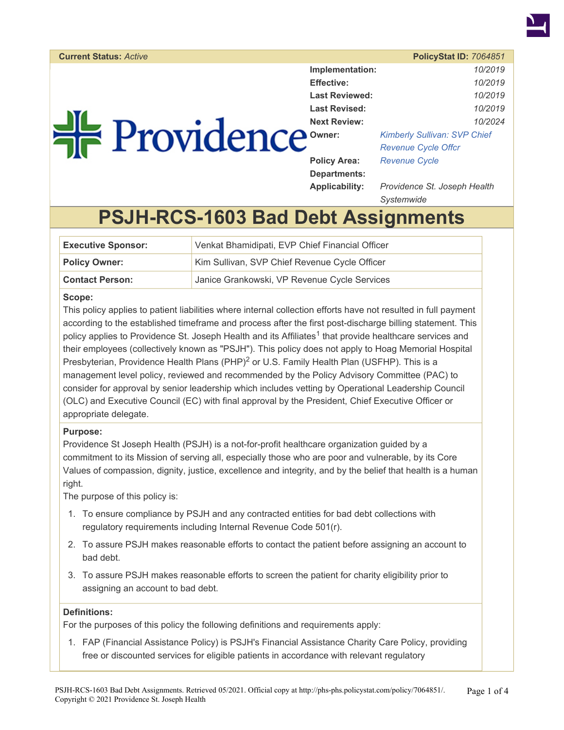

### **Current Status:** *Active* **PolicyStat ID:** *7064851*

| He Providence |  |
|---------------|--|
|               |  |
|               |  |

| Implementation:       | 10/2019                             |  |
|-----------------------|-------------------------------------|--|
| <b>Effective:</b>     | 10/2019                             |  |
| <b>Last Reviewed:</b> | 10/2019                             |  |
| Last Revised:         | 10/2019                             |  |
| <b>Next Review:</b>   | 10/2024                             |  |
| Owner:                | <b>Kimberly Sullivan: SVP Chief</b> |  |
|                       | <b>Revenue Cycle Offcr</b>          |  |
| <b>Policy Area:</b>   | <b>Revenue Cycle</b>                |  |
| Departments:          |                                     |  |
| <b>Applicability:</b> | Providence St. Joseph Health        |  |
|                       | Svstemwide                          |  |

# **PSJH-RCS-1603 Bad Debt Assignments**

| <b>Executive Sponsor:</b> | Venkat Bhamidipati, EVP Chief Financial Officer |
|---------------------------|-------------------------------------------------|
| <b>Policy Owner:</b>      | Kim Sullivan, SVP Chief Revenue Cycle Officer   |
| <b>Contact Person:</b>    | Janice Grankowski, VP Revenue Cycle Services    |

#### **Scope:**

This policy applies to patient liabilities where internal collection efforts have not resulted in full payment according to the established timeframe and process after the first post-discharge billing statement. This policy applies to Providence St. Joseph Health and its Affiliates<sup>1</sup> that provide healthcare services and their employees (collectively known as "PSJH"). This policy does not apply to Hoag Memorial Hospital Presbyterian, Providence Health Plans (PHP)<sup>2</sup> or U.S. Family Health Plan (USFHP). This is a management level policy, reviewed and recommended by the Policy Advisory Committee (PAC) to consider for approval by senior leadership which includes vetting by Operational Leadership Council (OLC) and Executive Council (EC) with final approval by the President, Chief Executive Officer or appropriate delegate.

#### **Purpose:**

Providence St Joseph Health (PSJH) is a not-for-profit healthcare organization guided by a commitment to its Mission of serving all, especially those who are poor and vulnerable, by its Core Values of compassion, dignity, justice, excellence and integrity, and by the belief that health is a human right.

The purpose of this policy is:

- 1. To ensure compliance by PSJH and any contracted entities for bad debt collections with regulatory requirements including Internal Revenue Code 501(r).
- 2. To assure PSJH makes reasonable efforts to contact the patient before assigning an account to bad debt.
- 3. To assure PSJH makes reasonable efforts to screen the patient for charity eligibility prior to assigning an account to bad debt.

#### **Definitions:**

For the purposes of this policy the following definitions and requirements apply:

1. FAP (Financial Assistance Policy) is PSJH's Financial Assistance Charity Care Policy, providing free or discounted services for eligible patients in accordance with relevant regulatory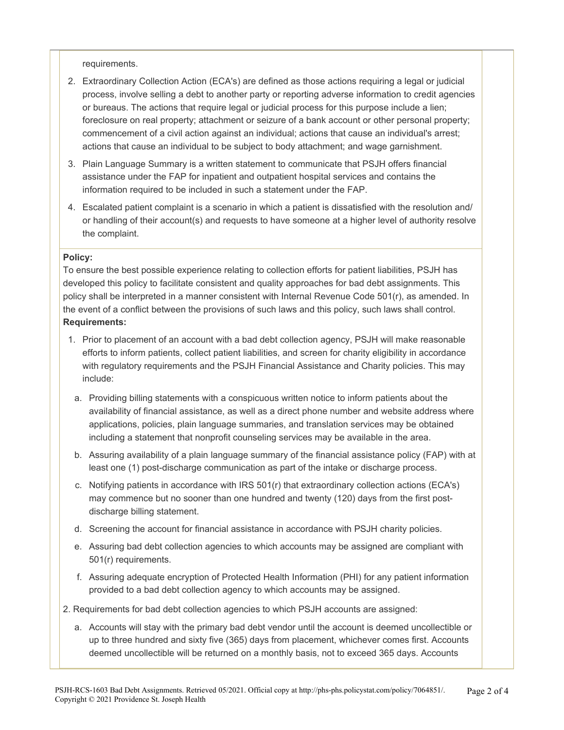requirements.

- 2. Extraordinary Collection Action (ECA's) are defined as those actions requiring a legal or judicial process, involve selling a debt to another party or reporting adverse information to credit agencies or bureaus. The actions that require legal or judicial process for this purpose include a lien; foreclosure on real property; attachment or seizure of a bank account or other personal property; commencement of a civil action against an individual; actions that cause an individual's arrest; actions that cause an individual to be subject to body attachment; and wage garnishment.
- 3. Plain Language Summary is a written statement to communicate that PSJH offers financial assistance under the FAP for inpatient and outpatient hospital services and contains the information required to be included in such a statement under the FAP.
- 4. Escalated patient complaint is a scenario in which a patient is dissatisfied with the resolution and/ or handling of their account(s) and requests to have someone at a higher level of authority resolve the complaint.

#### **Policy:**

To ensure the best possible experience relating to collection efforts for patient liabilities, PSJH has developed this policy to facilitate consistent and quality approaches for bad debt assignments. This policy shall be interpreted in a manner consistent with Internal Revenue Code 501(r), as amended. In the event of a conflict between the provisions of such laws and this policy, such laws shall control. **Requirements:** 

- 1. Prior to placement of an account with a bad debt collection agency, PSJH will make reasonable efforts to inform patients, collect patient liabilities, and screen for charity eligibility in accordance with regulatory requirements and the PSJH Financial Assistance and Charity policies. This may include:
- a. Providing billing statements with a conspicuous written notice to inform patients about the availability of financial assistance, as well as a direct phone number and website address where applications, policies, plain language summaries, and translation services may be obtained including a statement that nonprofit counseling services may be available in the area.
- b. Assuring availability of a plain language summary of the financial assistance policy (FAP) with at least one (1) post-discharge communication as part of the intake or discharge process.
- c. Notifying patients in accordance with IRS 501(r) that extraordinary collection actions (ECA's) may commence but no sooner than one hundred and twenty (120) days from the first postdischarge billing statement.
- d. Screening the account for financial assistance in accordance with PSJH charity policies.
- e. Assuring bad debt collection agencies to which accounts may be assigned are compliant with 501(r) requirements.
- f. Assuring adequate encryption of Protected Health Information (PHI) for any patient information provided to a bad debt collection agency to which accounts may be assigned.
- 2. Requirements for bad debt collection agencies to which PSJH accounts are assigned:
	- a. Accounts will stay with the primary bad debt vendor until the account is deemed uncollectible or up to three hundred and sixty five (365) days from placement, whichever comes first. Accounts deemed uncollectible will be returned on a monthly basis, not to exceed 365 days. Accounts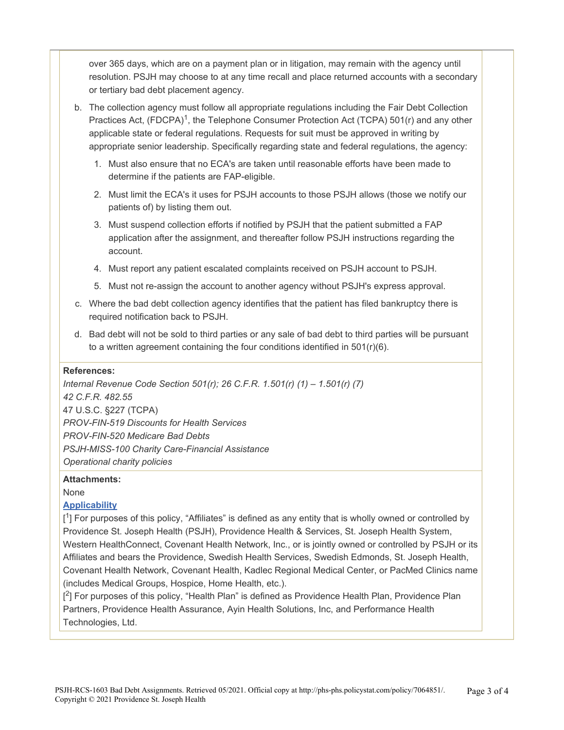over 365 days, which are on a payment plan or in litigation, may remain with the agency until resolution. PSJH may choose to at any time recall and place returned accounts with a secondary or tertiary bad debt placement agency.

- b. The collection agency must follow all appropriate regulations including the Fair Debt Collection Practices Act, (FDCPA)<sup>1</sup>, the Telephone Consumer Protection Act (TCPA) 501(r) and any other applicable state or federal regulations. Requests for suit must be approved in writing by appropriate senior leadership. Specifically regarding state and federal regulations, the agency:
	- 1. Must also ensure that no ECA's are taken until reasonable efforts have been made to determine if the patients are FAP-eligible.
	- 2. Must limit the ECA's it uses for PSJH accounts to those PSJH allows (those we notify our patients of) by listing them out.
	- 3. Must suspend collection efforts if notified by PSJH that the patient submitted a FAP application after the assignment, and thereafter follow PSJH instructions regarding the account.
	- 4. Must report any patient escalated complaints received on PSJH account to PSJH.
	- 5. Must not re-assign the account to another agency without PSJH's express approval.
- c. Where the bad debt collection agency identifies that the patient has filed bankruptcy there is required notification back to PSJH.
- d. Bad debt will not be sold to third parties or any sale of bad debt to third parties will be pursuant to a written agreement containing the four conditions identified in  $501(r)(6)$ .

#### **References:**

*Internal Revenue Code Section 501(r); 26 C.F.R. 1.501(r) (1) – 1.501(r) (7) 42 C.F.R. 482.55*  47 U.S.C. §227 (TCPA) *PROV-FIN-519 Discounts for Health Services PROV-FIN-520 Medicare Bad Debts PSJH-MISS-100 Charity Care-Financial Assistance Operational charity policies* 

#### **Attachments:**

None

#### **[Applicability](https://s3.amazonaws.com/systemintegrityeducation/Applicability+List+for+Medicare+Hospital+CoPs.pdf)**

[<sup>1</sup>] For purposes of this policy, "Affiliates" is defined as any entity that is wholly owned or controlled by Providence St. Joseph Health (PSJH), Providence Health & Services, St. Joseph Health System, Western HealthConnect, Covenant Health Network, Inc., or is jointly owned or controlled by PSJH or its Affiliates and bears the Providence, Swedish Health Services, Swedish Edmonds, St. Joseph Health, Covenant Health Network, Covenant Health, Kadlec Regional Medical Center, or PacMed Clinics name (includes Medical Groups, Hospice, Home Health, etc.).

[<sup>2</sup>] For purposes of this policy, "Health Plan" is defined as Providence Health Plan, Providence Plan Partners, Providence Health Assurance, Ayin Health Solutions, Inc, and Performance Health Technologies, Ltd.